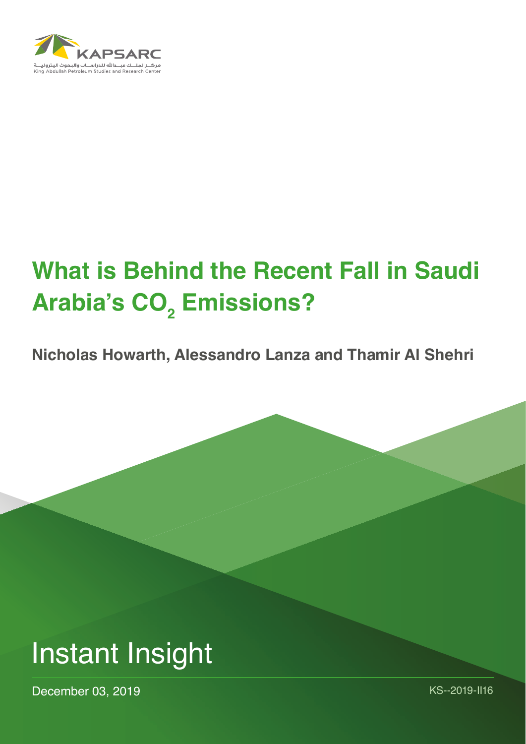

# **What is Behind the Recent Fall in Saudi Arabia's CO<sup>2</sup> Emissions?**

**Nicholas Howarth, Alessandro Lanza and Thamir Al Shehri**



December 03, 2019 Management Contract Contract Contract Contract Contract Contract Contract Contract Contract Contract Contract Contract Contract Contract Contract Contract Contract Contract Contract Contract Contract Cont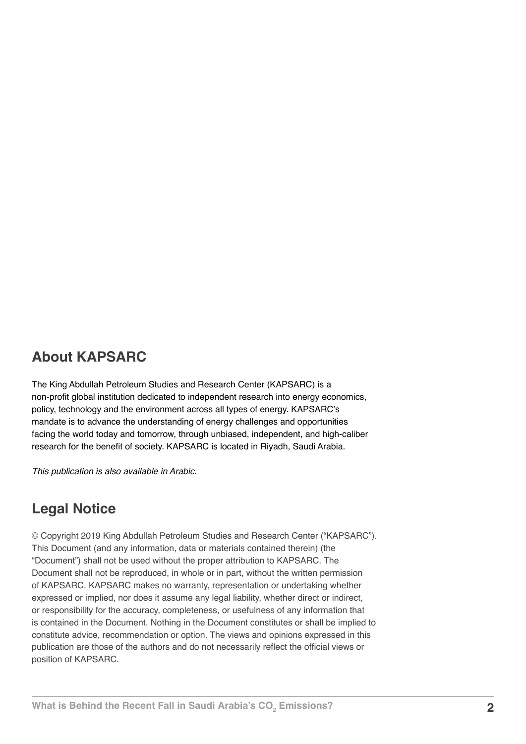## **About KAPSARC**

The King Abdullah Petroleum Studies and Research Center (KAPSARC) is a non-profit global institution dedicated to independent research into energy economics, policy, technology and the environment across all types of energy. KAPSARC's mandate is to advance the understanding of energy challenges and opportunities facing the world today and tomorrow, through unbiased, independent, and high-caliber research for the benefit of society. KAPSARC is located in Riyadh, Saudi Arabia.

*This publication is also available in Arabic.*

## **Legal Notice**

© Copyright 2019 King Abdullah Petroleum Studies and Research Center ("KAPSARC"). This Document (and any information, data or materials contained therein) (the "Document") shall not be used without the proper attribution to KAPSARC. The Document shall not be reproduced, in whole or in part, without the written permission of KAPSARC. KAPSARC makes no warranty, representation or undertaking whether expressed or implied, nor does it assume any legal liability, whether direct or indirect, or responsibility for the accuracy, completeness, or usefulness of any information that is contained in the Document. Nothing in the Document constitutes or shall be implied to constitute advice, recommendation or option. The views and opinions expressed in this publication are those of the authors and do not necessarily reflect the official views or position of KAPSARC.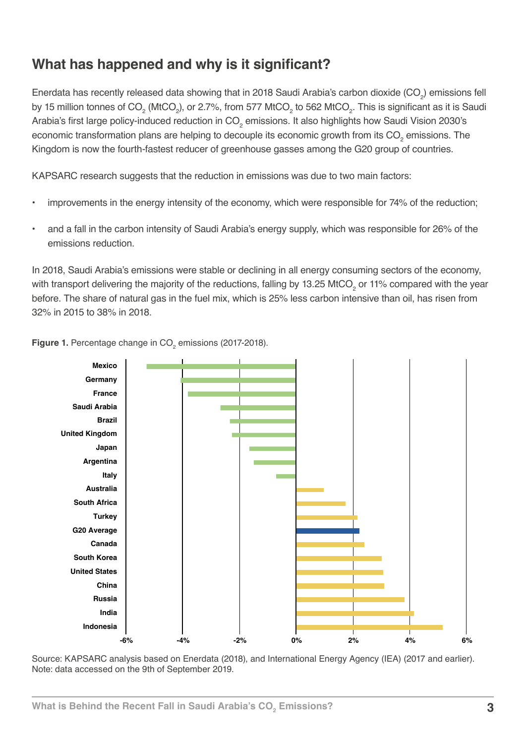# **What has happened and why is it significant?**

Enerdata has recently released data showing that in 2018 Saudi Arabia's carbon dioxide (CO<sub>2</sub>) emissions fell by 15 million tonnes of CO $_2$  (MtCO $_2$ ), or 2.7%, from 577 MtCO $_2$  to 562 MtCO $_2$ . This is significant as it is Saudi Arabia's first large policy-induced reduction in CO $_2$  emissions. It also highlights how Saudi Vision 2030's economic transformation plans are helping to decouple its economic growth from its CO<sub>2</sub> emissions. The Kingdom is now the fourth-fastest reducer of greenhouse gasses among the G20 group of countries.

KAPSARC research suggests that the reduction in emissions was due to two main factors:

- improvements in the energy intensity of the economy, which were responsible for 74% of the reduction;
- and a fall in the carbon intensity of Saudi Arabia's energy supply, which was responsible for 26% of the emissions reduction.

In 2018, Saudi Arabia's emissions were stable or declining in all energy consuming sectors of the economy, with transport delivering the majority of the reductions, falling by 13.25 MtCO<sub>2</sub> or 11% compared with the year before. The share of natural gas in the fuel mix, which is 25% less carbon intensive than oil, has risen from 32% in 2015 to 38% in 2018.



**Figure 1.** Percentage change in CO<sub>2</sub> emissions (2017-2018).

Source: KAPSARC analysis based on Enerdata (2018), and International Energy Agency (IEA) (2017 and earlier). Note: data accessed on the 9th of September 2019.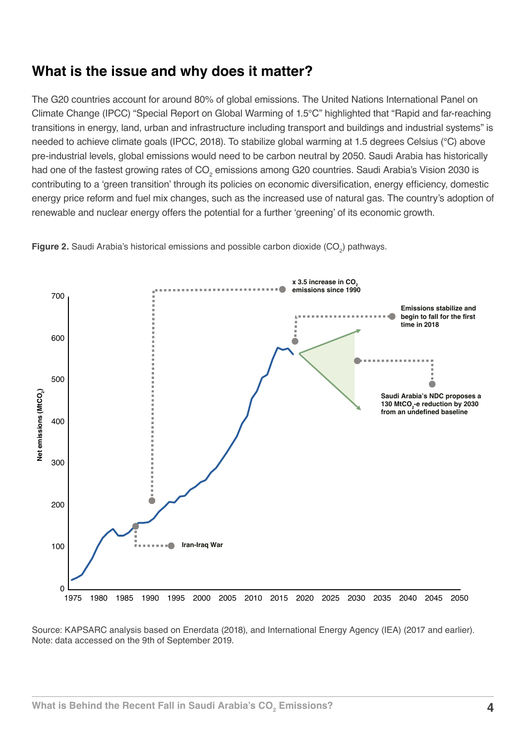## **What is the issue and why does it matter?**

The G20 countries account for around 80% of global emissions. The United Nations International Panel on Climate Change (IPCC) "Special Report on Global Warming of 1.5°C" highlighted that "Rapid and far-reaching transitions in energy, land, urban and infrastructure including transport and buildings and industrial systems" is needed to achieve climate goals (IPCC, 2018). To stabilize global warming at 1.5 degrees Celsius (°C) above pre-industrial levels, global emissions would need to be carbon neutral by 2050. Saudi Arabia has historically had one of the fastest growing rates of CO<sub>2</sub> emissions among G20 countries. Saudi Arabia's Vision 2030 is contributing to a 'green transition' through its policies on economic diversification, energy efficiency, domestic energy price reform and fuel mix changes, such as the increased use of natural gas. The country's adoption of renewable and nuclear energy offers the potential for a further 'greening' of its economic growth.



**Figure 2.** Saudi Arabia's historical emissions and possible carbon dioxide (CO<sub>2</sub>) pathways.

Source: KAPSARC analysis based on Enerdata (2018), and International Energy Agency (IEA) (2017 and earlier). Note: data accessed on the 9th of September 2019.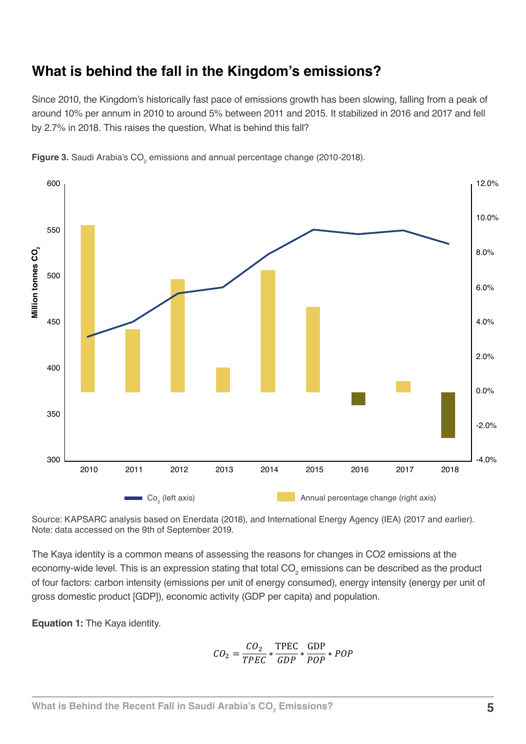## **What is behind the fall in the Kingdom's emissions?**

Since 2010, the Kingdom's historically fast pace of emissions growth has been slowing, falling from a peak of around 10% per annum in 2010 to around 5% between 2011 and 2015. It stabilized in 2016 and 2017 and fell by 2.7% in 2018. This raises the question, What is behind this fall?



**Figure 3.** Saudi Arabia's CO<sub>2</sub> emissions and annual percentage change (2010-2018).

Source: KAPSARC analysis based on Enerdata (2018), and International Energy Agency (IEA) (2017 and earlier). Note: data accessed on the 9th of September 2019.

The Kaya identity is a common means of assessing the reasons for changes in CO2 emissions at the economy-wide level. This is an expression stating that total CO<sub>2</sub> emissions can be described as the product of four factors: carbon intensity (emissions per unit of energy consumed), energy intensity (energy per unit of gross domestic product [GDP]), economic activity (GDP per capita) and population.

**Equation 1:** The Kaya identity.

$$
CO_2 = \frac{CO_2}{TPEC} * \frac{\text{TPEC}}{GDP} * \frac{\text{GDP}}{POP} * POP
$$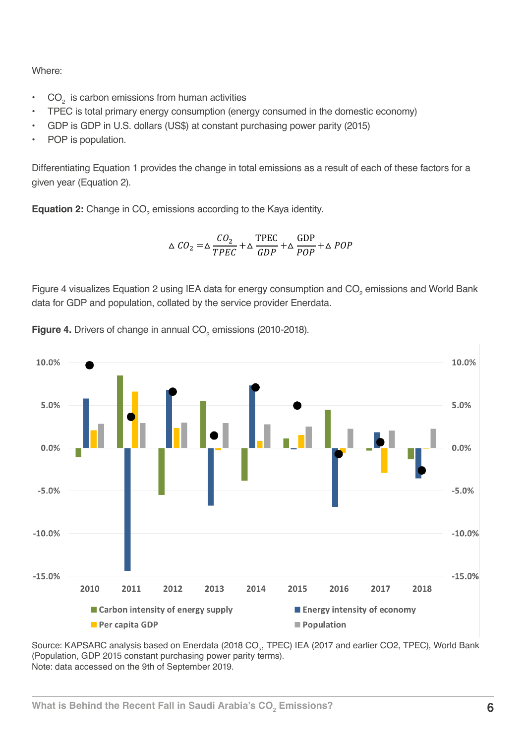Where:

- $CO<sub>2</sub>$  is carbon emissions from human activities
- TPEC is total primary energy consumption (energy consumed in the domestic economy)
- GDP is GDP in U.S. dollars (US\$) at constant purchasing power parity (2015)
- POP is population.

Differentiating Equation 1 provides the change in total emissions as a result of each of these factors for a given year (Equation 2).

**Equation 2:** Change in CO<sub>2</sub> emissions according to the Kaya identity.

$$
\Delta CO_2 = \Delta \frac{CO_2}{TPEC} + \Delta \frac{\text{TPEC}}{GDP} + \Delta \frac{GDP}{POP} + \Delta POP
$$

Figure 4 visualizes Equation 2 using IEA data for energy consumption and CO<sub>2</sub> emissions and World Bank data for GDP and population, collated by the service provider Enerdata.



**Figure 4.** Drivers of change in annual  $CO<sub>2</sub>$  emissions (2010-2018).

Source: KAPSARC analysis based on Enerdata (2018 CO<sub>2</sub>, TPEC) IEA (2017 and earlier CO2, TPEC), World Bank (Population, GDP 2015 constant purchasing power parity terms). Note: data accessed on the 9th of September 2019.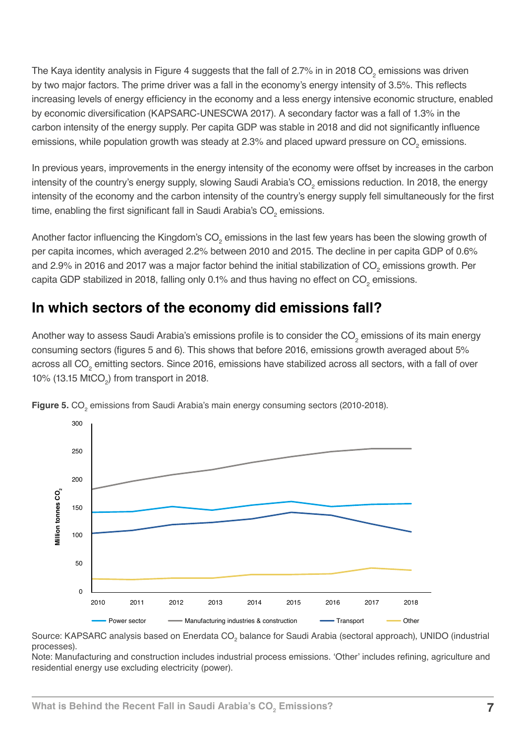The Kaya identity analysis in Figure 4 suggests that the fall of 2.7% in in 2018 CO<sub>2</sub> emissions was driven by two major factors. The prime driver was a fall in the economy's energy intensity of 3.5%. This reflects increasing levels of energy efficiency in the economy and a less energy intensive economic structure, enabled by economic diversification (KAPSARC-UNESCWA 2017). A secondary factor was a fall of 1.3% in the carbon intensity of the energy supply. Per capita GDP was stable in 2018 and did not significantly influence emissions, while population growth was steady at 2.3% and placed upward pressure on  $\mathrm{CO}_2$  emissions.

In previous years, improvements in the energy intensity of the economy were offset by increases in the carbon intensity of the country's energy supply, slowing Saudi Arabia's CO<sub>2</sub> emissions reduction. In 2018, the energy intensity of the economy and the carbon intensity of the country's energy supply fell simultaneously for the first time, enabling the first significant fall in Saudi Arabia's CO<sub>2</sub> emissions.

Another factor influencing the Kingdom's CO<sub>2</sub> emissions in the last few years has been the slowing growth of per capita incomes, which averaged 2.2% between 2010 and 2015. The decline in per capita GDP of 0.6% and 2.9% in 2016 and 2017 was a major factor behind the initial stabilization of CO<sub>2</sub> emissions growth. Per capita GDP stabilized in 2018, falling only 0.1% and thus having no effect on  $\mathrm{CO}_2$  emissions.

## **In which sectors of the economy did emissions fall?**

Another way to assess Saudi Arabia's emissions profile is to consider the CO<sub>2</sub> emissions of its main energy consuming sectors (figures 5 and 6). This shows that before 2016, emissions growth averaged about 5% across all CO<sub>2</sub> emitting sectors. Since 2016, emissions have stabilized across all sectors, with a fall of over 10% (13.15  $\text{MtCO}_2$ ) from transport in 2018.



**Figure 5.** CO<sub>2</sub> emissions from Saudi Arabia's main energy consuming sectors (2010-2018).

Source: KAPSARC analysis based on Enerdata CO<sub>2</sub> balance for Saudi Arabia (sectoral approach), UNIDO (industrial processes).

Note: Manufacturing and construction includes industrial process emissions. 'Other' includes refining, agriculture and residential energy use excluding electricity (power).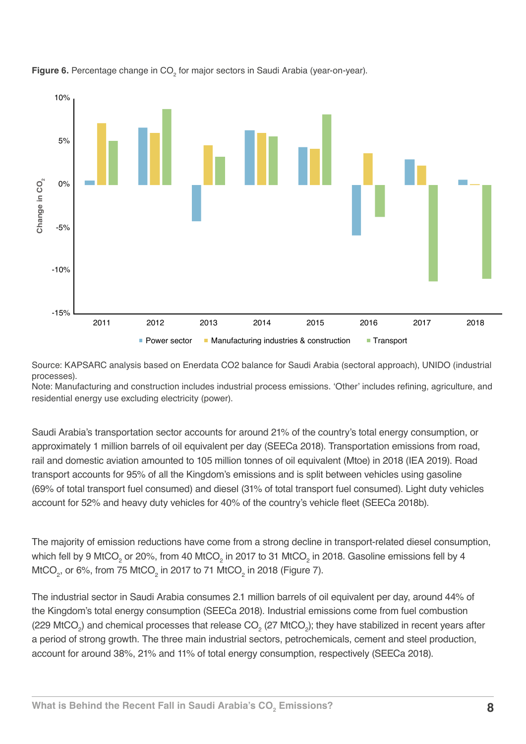



Source: KAPSARC analysis based on Enerdata CO2 balance for Saudi Arabia (sectoral approach), UNIDO (industrial processes).

Note: Manufacturing and construction includes industrial process emissions. 'Other' includes refining, agriculture, and residential energy use excluding electricity (power).

Saudi Arabia's transportation sector accounts for around 21% of the country's total energy consumption, or approximately 1 million barrels of oil equivalent per day (SEECa 2018). Transportation emissions from road, rail and domestic aviation amounted to 105 million tonnes of oil equivalent (Mtoe) in 2018 (IEA 2019). Road transport accounts for 95% of all the Kingdom's emissions and is split between vehicles using gasoline (69% of total transport fuel consumed) and diesel (31% of total transport fuel consumed). Light duty vehicles account for 52% and heavy duty vehicles for 40% of the country's vehicle fleet (SEECa 2018b).

The majority of emission reductions have come from a strong decline in transport-related diesel consumption, which fell by 9 MtCO<sub>2</sub> or 20%, from 40 MtCO<sub>2</sub> in 2017 to 31 MtCO<sub>2</sub> in 2018. Gasoline emissions fell by 4 MtCO $_2$ , or 6%, from 75 MtCO $_2$  in 2017 to 71 MtCO $_2$  in 2018 (Figure 7).

The industrial sector in Saudi Arabia consumes 2.1 million barrels of oil equivalent per day, around 44% of the Kingdom's total energy consumption (SEECa 2018). Industrial emissions come from fuel combustion (229 MtCO<sub>2</sub>) and chemical processes that release CO<sub>2</sub> (27 MtCO<sub>2</sub>); they have stabilized in recent years after a period of strong growth. The three main industrial sectors, petrochemicals, cement and steel production, account for around 38%, 21% and 11% of total energy consumption, respectively (SEECa 2018).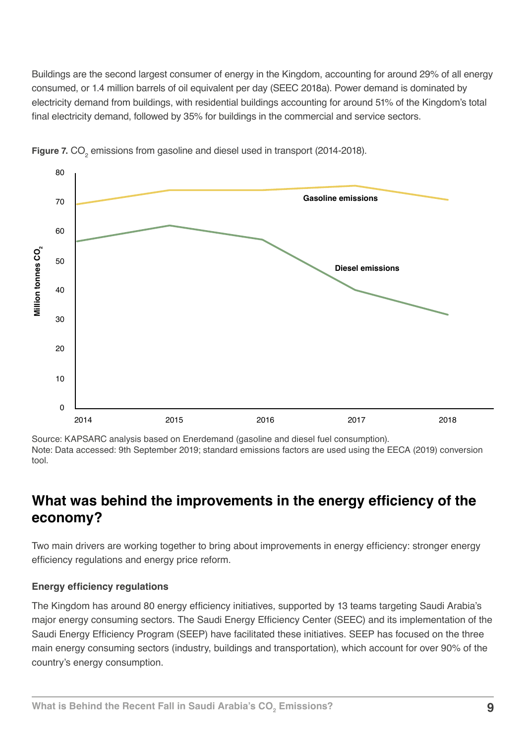Buildings are the second largest consumer of energy in the Kingdom, accounting for around 29% of all energy consumed, or 1.4 million barrels of oil equivalent per day (SEEC 2018a). Power demand is dominated by electricity demand from buildings, with residential buildings accounting for around 51% of the Kingdom's total final electricity demand, followed by 35% for buildings in the commercial and service sectors.



**Figure 7.** CO<sub>2</sub> emissions from gasoline and diesel used in transport (2014-2018).

Source: KAPSARC analysis based on Enerdemand (gasoline and diesel fuel consumption). Note: Data accessed: 9th September 2019; standard emissions factors are used using the EECA (2019) conversion tool.

## **What was behind the improvements in the energy efficiency of the economy?**

Two main drivers are working together to bring about improvements in energy efficiency: stronger energy efficiency regulations and energy price reform.

#### **Energy efficiency regulations**

The Kingdom has around 80 energy efficiency initiatives, supported by 13 teams targeting Saudi Arabia's major energy consuming sectors. The Saudi Energy Efficiency Center (SEEC) and its implementation of the Saudi Energy Efficiency Program (SEEP) have facilitated these initiatives. SEEP has focused on the three main energy consuming sectors (industry, buildings and transportation), which account for over 90% of the country's energy consumption.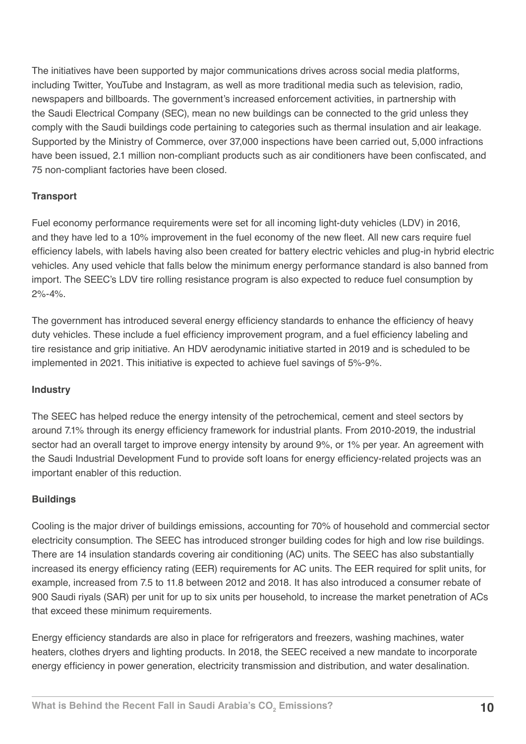The initiatives have been supported by major communications drives across social media platforms, including Twitter, YouTube and Instagram, as well as more traditional media such as television, radio, newspapers and billboards. The government's increased enforcement activities, in partnership with the Saudi Electrical Company (SEC), mean no new buildings can be connected to the grid unless they comply with the Saudi buildings code pertaining to categories such as thermal insulation and air leakage. Supported by the Ministry of Commerce, over 37,000 inspections have been carried out, 5,000 infractions have been issued, 2.1 million non-compliant products such as air conditioners have been confiscated, and 75 non-compliant factories have been closed.

### **Transport**

Fuel economy performance requirements were set for all incoming light-duty vehicles (LDV) in 2016, and they have led to a 10% improvement in the fuel economy of the new fleet. All new cars require fuel efficiency labels, with labels having also been created for battery electric vehicles and plug-in hybrid electric vehicles. Any used vehicle that falls below the minimum energy performance standard is also banned from import. The SEEC's LDV tire rolling resistance program is also expected to reduce fuel consumption by  $2\% - 4\%$ .

The government has introduced several energy efficiency standards to enhance the efficiency of heavy duty vehicles. These include a fuel efficiency improvement program, and a fuel efficiency labeling and tire resistance and grip initiative. An HDV aerodynamic initiative started in 2019 and is scheduled to be implemented in 2021. This initiative is expected to achieve fuel savings of 5%-9%.

#### **Industry**

The SEEC has helped reduce the energy intensity of the petrochemical, cement and steel sectors by around 7.1% through its energy efficiency framework for industrial plants. From 2010-2019, the industrial sector had an overall target to improve energy intensity by around 9%, or 1% per year. An agreement with the Saudi Industrial Development Fund to provide soft loans for energy efficiency-related projects was an important enabler of this reduction.

#### **Buildings**

Cooling is the major driver of buildings emissions, accounting for 70% of household and commercial sector electricity consumption. The SEEC has introduced stronger building codes for high and low rise buildings. There are 14 insulation standards covering air conditioning (AC) units. The SEEC has also substantially increased its energy efficiency rating (EER) requirements for AC units. The EER required for split units, for example, increased from 7.5 to 11.8 between 2012 and 2018. It has also introduced a consumer rebate of 900 Saudi riyals (SAR) per unit for up to six units per household, to increase the market penetration of ACs that exceed these minimum requirements.

Energy efficiency standards are also in place for refrigerators and freezers, washing machines, water heaters, clothes dryers and lighting products. In 2018, the SEEC received a new mandate to incorporate energy efficiency in power generation, electricity transmission and distribution, and water desalination.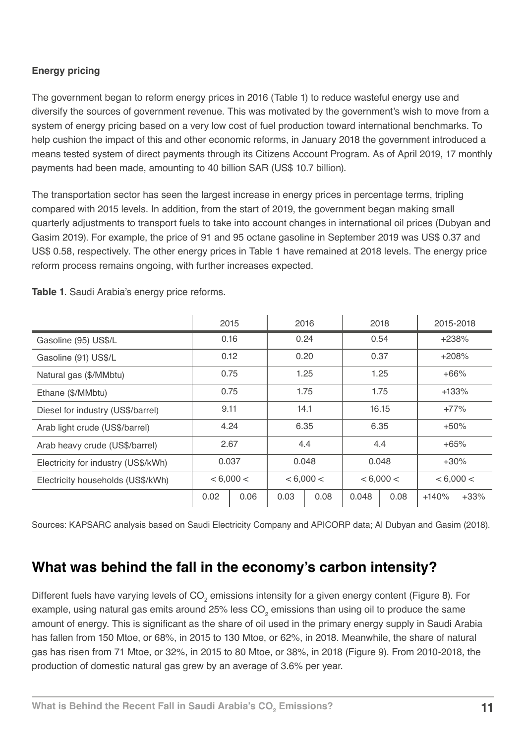## **Energy pricing**

The government began to reform energy prices in 2016 (Table 1) to reduce wasteful energy use and diversify the sources of government revenue. This was motivated by the government's wish to move from a system of energy pricing based on a very low cost of fuel production toward international benchmarks. To help cushion the impact of this and other economic reforms, in January 2018 the government introduced a means tested system of direct payments through its Citizens Account Program. As of April 2019, 17 monthly payments had been made, amounting to 40 billion SAR (US\$ 10.7 billion).

The transportation sector has seen the largest increase in energy prices in percentage terms, tripling compared with 2015 levels. In addition, from the start of 2019, the government began making small quarterly adjustments to transport fuels to take into account changes in international oil prices (Dubyan and Gasim 2019). For example, the price of 91 and 95 octane gasoline in September 2019 was US\$ 0.37 and US\$ 0.58, respectively. The other energy prices in Table 1 have remained at 2018 levels. The energy price reform process remains ongoing, with further increases expected.

|                                     | 2015      |      | 2016      |      | 2018      |      | 2015-2018 |        |
|-------------------------------------|-----------|------|-----------|------|-----------|------|-----------|--------|
| Gasoline (95) US\$/L                | 0.16      |      | 0.24      |      | 0.54      |      | $+238%$   |        |
| Gasoline (91) US\$/L                | 0.12      |      | 0.20      |      | 0.37      |      | $+208%$   |        |
| Natural gas (\$/MMbtu)              | 0.75      |      | 1.25      |      | 1.25      |      | $+66%$    |        |
| Ethane (\$/MMbtu)                   | 0.75      |      | 1.75      |      | 1.75      |      | $+133%$   |        |
| Diesel for industry (US\$/barrel)   | 9.11      |      | 14.1      |      | 16.15     |      | $+77%$    |        |
| Arab light crude (US\$/barrel)      | 4.24      |      | 6.35      |      | 6.35      |      | $+50%$    |        |
| Arab heavy crude (US\$/barrel)      | 2.67      |      | 4.4       |      | 4.4       |      | $+65%$    |        |
| Electricity for industry (US\$/kWh) | 0.037     |      | 0.048     |      | 0.048     |      | $+30%$    |        |
| Electricity households (US\$/kWh)   | < 6,000 < |      | < 6,000 < |      | < 6,000 < |      | < 6,000 < |        |
|                                     | 0.02      | 0.06 | 0.03      | 0.08 | 0.048     | 0.08 | $+140%$   | $+33%$ |

**Table 1**. Saudi Arabia's energy price reforms.

Sources: KAPSARC analysis based on Saudi Electricity Company and APICORP data; Al Dubyan and Gasim (2018).

## **What was behind the fall in the economy's carbon intensity?**

Different fuels have varying levels of CO<sub>2</sub> emissions intensity for a given energy content (Figure 8). For example, using natural gas emits around 25% less CO<sub>2</sub> emissions than using oil to produce the same amount of energy. This is significant as the share of oil used in the primary energy supply in Saudi Arabia has fallen from 150 Mtoe, or 68%, in 2015 to 130 Mtoe, or 62%, in 2018. Meanwhile, the share of natural gas has risen from 71 Mtoe, or 32%, in 2015 to 80 Mtoe, or 38%, in 2018 (Figure 9). From 2010-2018, the production of domestic natural gas grew by an average of 3.6% per year.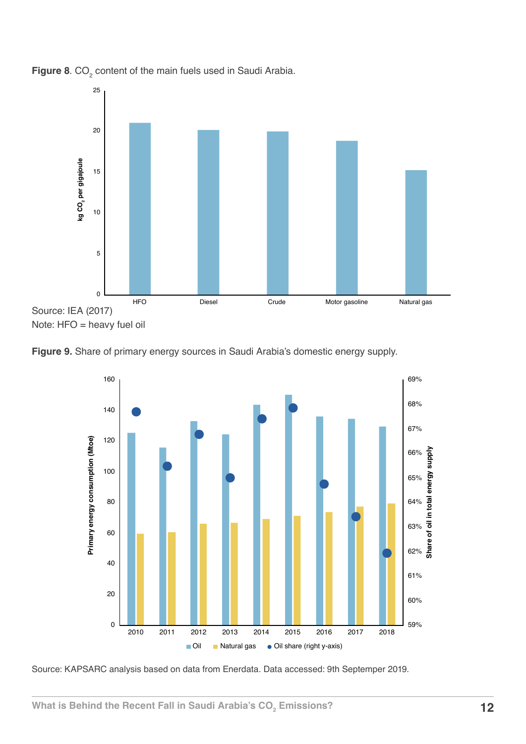

**Figure 8**.  $CO<sub>2</sub>$  content of the main fuels used in Saudi Arabia.





Source: KAPSARC analysis based on data from Enerdata. Data accessed: 9th Septemper 2019.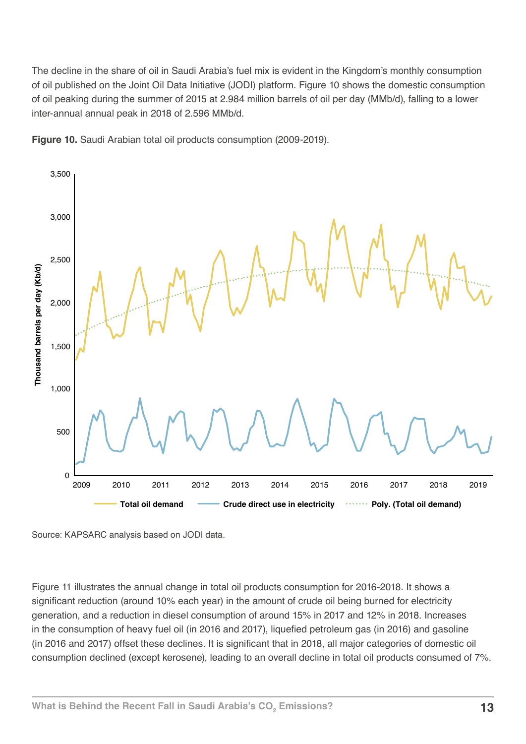The decline in the share of oil in Saudi Arabia's fuel mix is evident in the Kingdom's monthly consumption of oil published on the Joint Oil Data Initiative (JODI) platform. Figure 10 shows the domestic consumption of oil peaking during the summer of 2015 at 2.984 million barrels of oil per day (MMb/d), falling to a lower inter-annual annual peak in 2018 of 2.596 MMb/d.





Figure 11 illustrates the annual change in total oil products consumption for 2016-2018. It shows a significant reduction (around 10% each year) in the amount of crude oil being burned for electricity generation, and a reduction in diesel consumption of around 15% in 2017 and 12% in 2018. Increases in the consumption of heavy fuel oil (in 2016 and 2017), liquefied petroleum gas (in 2016) and gasoline (in 2016 and 2017) offset these declines. It is significant that in 2018, all major categories of domestic oil consumption declined (except kerosene), leading to an overall decline in total oil products consumed of 7%.

Source: KAPSARC analysis based on JODI data.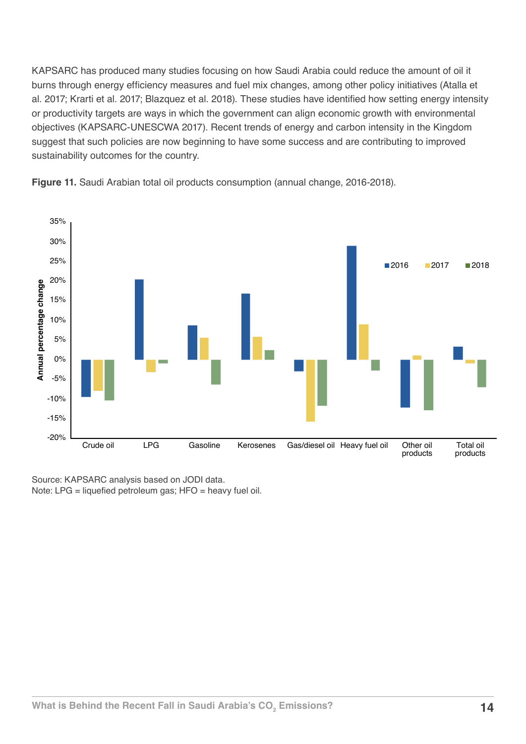KAPSARC has produced many studies focusing on how Saudi Arabia could reduce the amount of oil it burns through energy efficiency measures and fuel mix changes, among other policy initiatives (Atalla et al. 2017; Krarti et al. 2017; Blazquez et al. 2018). These studies have identified how setting energy intensity or productivity targets are ways in which the government can align economic growth with environmental objectives (KAPSARC-UNESCWA 2017). Recent trends of energy and carbon intensity in the Kingdom suggest that such policies are now beginning to have some success and are contributing to improved sustainability outcomes for the country.



**Figure 11.** Saudi Arabian total oil products consumption (annual change, 2016-2018).

Source: KAPSARC analysis based on JODI data. Note: LPG = liquefied petroleum gas; HFO = heavy fuel oil.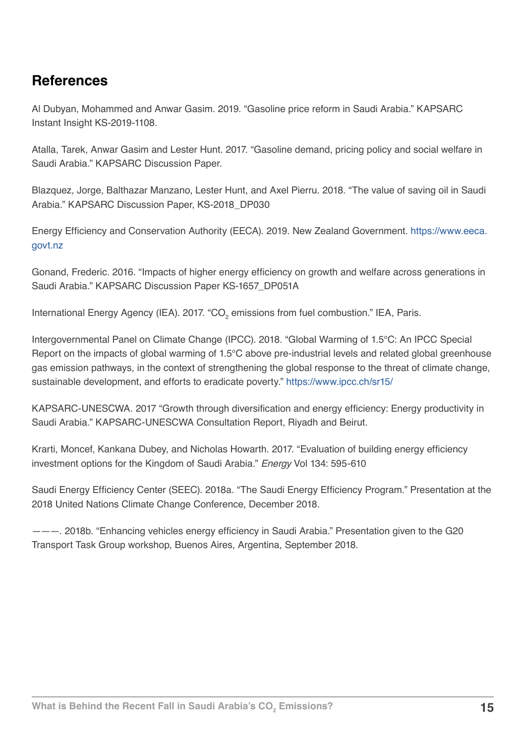## **References**

Al Dubyan, Mohammed and Anwar Gasim. 2019. "Gasoline price reform in Saudi Arabia." KAPSARC Instant Insight KS-2019-1108.

Atalla, Tarek, Anwar Gasim and Lester Hunt. 2017. "Gasoline demand, pricing policy and social welfare in Saudi Arabia." KAPSARC Discussion Paper.

Blazquez, Jorge, Balthazar Manzano, Lester Hunt, and Axel Pierru. 2018. "The value of saving oil in Saudi Arabia." KAPSARC Discussion Paper, KS-2018\_DP030

Energy Efficiency and Conservation Authority (EECA). 2019. New Zealand Government. [https://www.eeca.](https://www.eeca.govt.nz) [govt.nz](https://www.eeca.govt.nz)

Gonand, Frederic. 2016. "Impacts of higher energy efficiency on growth and welfare across generations in Saudi Arabia." KAPSARC Discussion Paper KS-1657\_DP051A

International Energy Agency (IEA). 2017. "CO<sub>2</sub> emissions from fuel combustion." IEA, Paris.

Intergovernmental Panel on Climate Change (IPCC). 2018. "Global Warming of 1.5°C: An IPCC Special Report on the impacts of global warming of 1.5°C above pre-industrial levels and related global greenhouse gas emission pathways, in the context of strengthening the global response to the threat of climate change, sustainable development, and efforts to eradicate poverty."<https://www.ipcc.ch/sr15/>

KAPSARC-UNESCWA. 2017 "Growth through diversification and energy efficiency: Energy productivity in Saudi Arabia." KAPSARC-UNESCWA Consultation Report, Riyadh and Beirut.

Krarti, Moncef, Kankana Dubey, and Nicholas Howarth. 2017. "Evaluation of building energy efficiency investment options for the Kingdom of Saudi Arabia." *Energy* Vol 134: 595-610

Saudi Energy Efficiency Center (SEEC). 2018a. "The Saudi Energy Efficiency Program." Presentation at the 2018 United Nations Climate Change Conference, December 2018.

———. 2018b. "Enhancing vehicles energy efficiency in Saudi Arabia." Presentation given to the G20 Transport Task Group workshop, Buenos Aires, Argentina, September 2018.